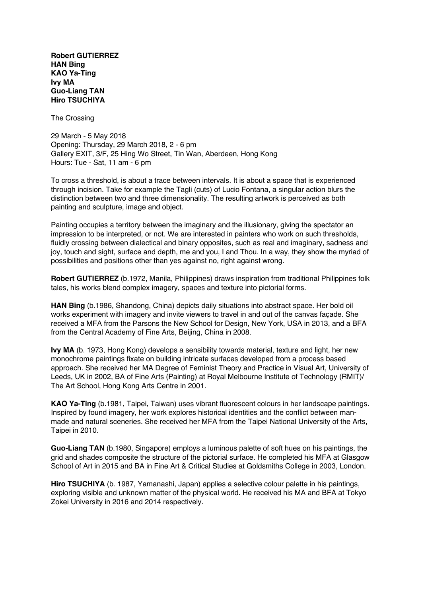**Robert GUTIERREZ HAN Bing KAO Ya-Ting Ivy MA Guo-Liang TAN Hiro TSUCHIYA**

The Crossing

29 March - 5 May 2018 Opening: Thursday, 29 March 2018, 2 - 6 pm Gallery EXIT, 3/F, 25 Hing Wo Street, Tin Wan, Aberdeen, Hong Kong Hours: Tue - Sat, 11 am - 6 pm

To cross a threshold, is about a trace between intervals. It is about a space that is experienced through incision. Take for example the Tagli (cuts) of Lucio Fontana, a singular action blurs the distinction between two and three dimensionality. The resulting artwork is perceived as both painting and sculpture, image and object.

Painting occupies a territory between the imaginary and the illusionary, giving the spectator an impression to be interpreted, or not. We are interested in painters who work on such thresholds, fluidly crossing between dialectical and binary opposites, such as real and imaginary, sadness and joy, touch and sight, surface and depth, me and you, I and Thou. In a way, they show the myriad of possibilities and positions other than yes against no, right against wrong.

**Robert GUTIERREZ** (b.1972, Manila, Philippines) draws inspiration from traditional Philippines folk tales, his works blend complex imagery, spaces and texture into pictorial forms.

**HAN Bing** (b.1986, Shandong, China) depicts daily situations into abstract space. Her bold oil works experiment with imagery and invite viewers to travel in and out of the canvas façade. She received a MFA from the Parsons the New School for Design, New York, USA in 2013, and a BFA from the Central Academy of Fine Arts, Beijing, China in 2008.

**Ivy MA** (b. 1973, Hong Kong) develops a sensibility towards material, texture and light, her new monochrome paintings fixate on building intricate surfaces developed from a process based approach. She received her MA Degree of Feminist Theory and Practice in Visual Art, University of Leeds, UK in 2002, BA of Fine Arts (Painting) at Royal Melbourne Institute of Technology (RMIT)/ The Art School, Hong Kong Arts Centre in 2001.

**KAO Ya-Ting** (b.1981, Taipei, Taiwan) uses vibrant fluorescent colours in her landscape paintings. Inspired by found imagery, her work explores historical identities and the conflict between manmade and natural sceneries. She received her MFA from the Taipei National University of the Arts, Taipei in 2010.

**Guo-Liang TAN** (b.1980, Singapore) employs a luminous palette of soft hues on his paintings, the grid and shades composite the structure of the pictorial surface. He completed his MFA at Glasgow School of Art in 2015 and BA in Fine Art & Critical Studies at Goldsmiths College in 2003, London.

**Hiro TSUCHIYA** (b. 1987, Yamanashi, Japan) applies a selective colour palette in his paintings, exploring visible and unknown matter of the physical world. He received his MA and BFA at Tokyo Zokei University in 2016 and 2014 respectively.